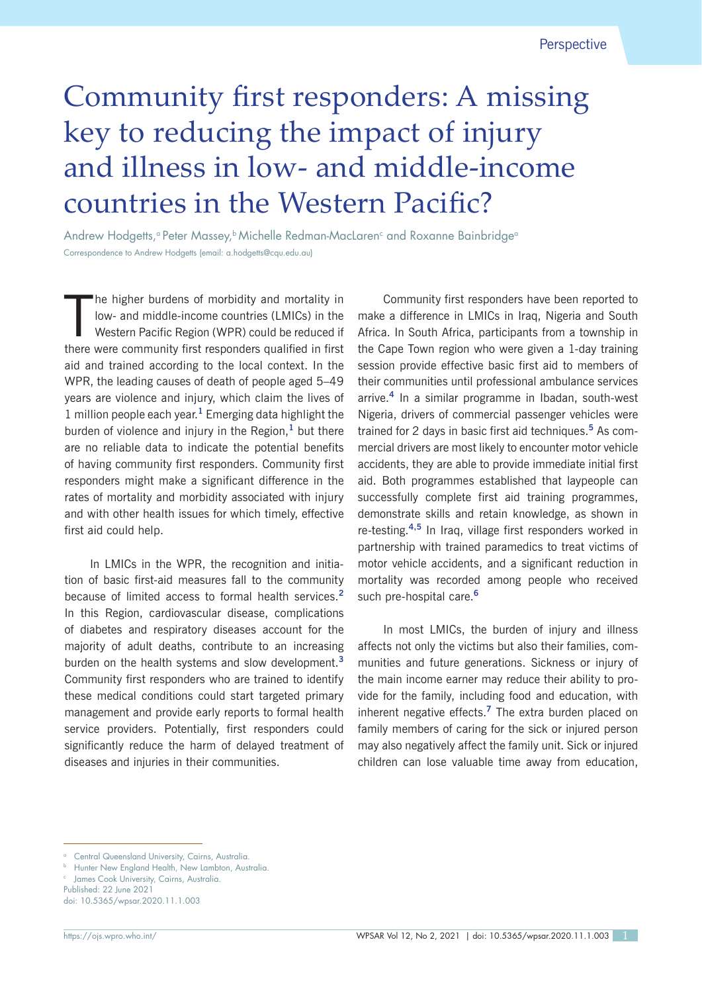# Community first responders: A missing key to reducing the impact of injury and illness in low- and middle-income countries in the Western Pacific?

Andrew Hodgetts,ª Peter Massey,♭Michelle Redman-MacLaren<sup>c</sup> and Roxanne Bainbridgeª Correspondence to Andrew Hodgetts (email: a.hodgetts@cqu.edu.au)

 $\prod_{\text{theorel}}$ he higher burdens of morbidity and mortality in low- and middle-income countries (LMICs) in the Western Pacific Region (WPR) could be reduced if there were community first responders qualified in first aid and trained according to the local context. In the WPR, the leading causes of death of people aged 5–49 years are violence and injury, which claim the lives of 1 million people each year.**<sup>1</sup>** Emerging data highlight the burden of violence and injury in the Region,**<sup>1</sup>** but there are no reliable data to indicate the potential benefits of having community first responders. Community first responders might make a significant difference in the rates of mortality and morbidity associated with injury and with other health issues for which timely, effective first aid could help.

In LMICs in the WPR, the recognition and initiation of basic first-aid measures fall to the community because of limited access to formal health services.**<sup>2</sup>** In this Region, cardiovascular disease, complications of diabetes and respiratory diseases account for the majority of adult deaths, contribute to an increasing burden on the health systems and slow development.**<sup>3</sup>** Community first responders who are trained to identify these medical conditions could start targeted primary management and provide early reports to formal health service providers. Potentially, first responders could significantly reduce the harm of delayed treatment of diseases and injuries in their communities.

Community first responders have been reported to make a difference in LMICs in Iraq, Nigeria and South Africa. In South Africa, participants from a township in the Cape Town region who were given a 1-day training session provide effective basic first aid to members of their communities until professional ambulance services arrive.**<sup>4</sup>** In a similar programme in Ibadan, south-west Nigeria, drivers of commercial passenger vehicles were trained for 2 days in basic first aid techniques.**<sup>5</sup>** As commercial drivers are most likely to encounter motor vehicle accidents, they are able to provide immediate initial first aid. Both programmes established that laypeople can successfully complete first aid training programmes, demonstrate skills and retain knowledge, as shown in re-testing.**4,5** In Iraq, village first responders worked in partnership with trained paramedics to treat victims of motor vehicle accidents, and a significant reduction in mortality was recorded among people who received such pre-hospital care.**<sup>6</sup>**

In most LMICs, the burden of injury and illness affects not only the victims but also their families, communities and future generations. Sickness or injury of the main income earner may reduce their ability to provide for the family, including food and education, with inherent negative effects.**<sup>7</sup>** The extra burden placed on family members of caring for the sick or injured person may also negatively affect the family unit. Sick or injured children can lose valuable time away from education,

Central Queensland University, Cairns, Australia.

Hunter New England Health, New Lambton, Australia.

<sup>c</sup> James Cook University, Cairns, Australia. Published: 22 June 2021

doi: 10.5365/wpsar.2020.11.1.003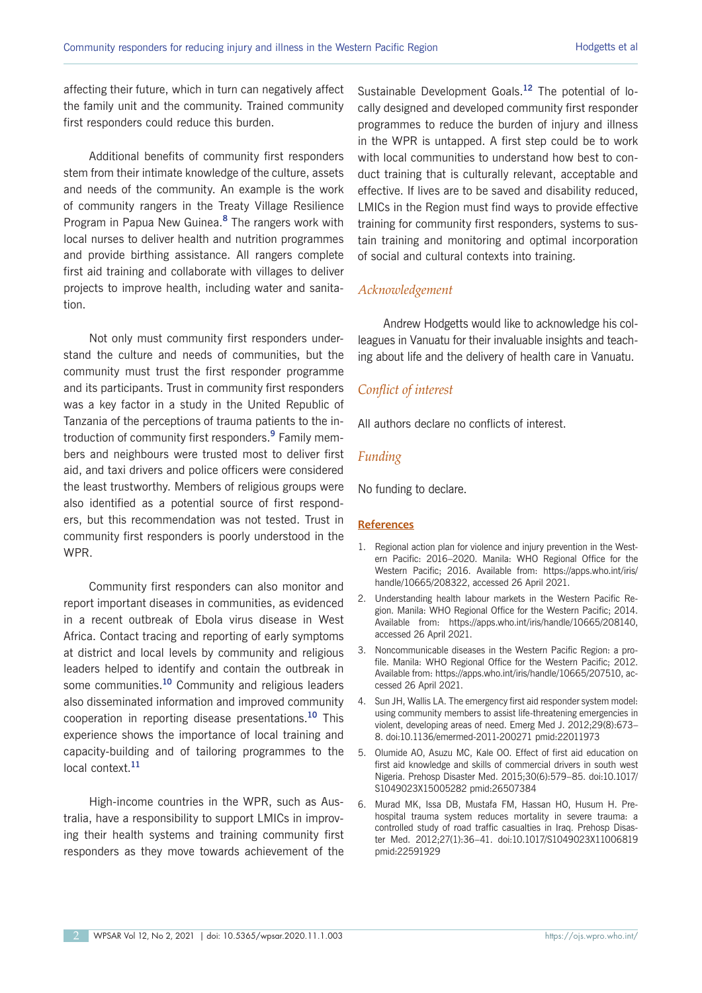affecting their future, which in turn can negatively affect the family unit and the community. Trained community first responders could reduce this burden.

Additional benefits of community first responders stem from their intimate knowledge of the culture, assets and needs of the community. An example is the work of community rangers in the Treaty Village Resilience Program in Papua New Guinea.**<sup>8</sup>** The rangers work with local nurses to deliver health and nutrition programmes and provide birthing assistance. All rangers complete first aid training and collaborate with villages to deliver projects to improve health, including water and sanitation.

Not only must community first responders understand the culture and needs of communities, but the community must trust the first responder programme and its participants. Trust in community first responders was a key factor in a study in the United Republic of Tanzania of the perceptions of trauma patients to the introduction of community first responders.**<sup>9</sup>** Family members and neighbours were trusted most to deliver first aid, and taxi drivers and police officers were considered the least trustworthy. Members of religious groups were also identified as a potential source of first responders, but this recommendation was not tested. Trust in community first responders is poorly understood in the WPR.

Community first responders can also monitor and report important diseases in communities, as evidenced in a recent outbreak of Ebola virus disease in West Africa. Contact tracing and reporting of early symptoms at district and local levels by community and religious leaders helped to identify and contain the outbreak in some communities.**<sup>10</sup>** Community and religious leaders also disseminated information and improved community cooperation in reporting disease presentations.**<sup>10</sup>** This experience shows the importance of local training and capacity-building and of tailoring programmes to the local context.**<sup>11</sup>**

High-income countries in the WPR, such as Australia, have a responsibility to support LMICs in improving their health systems and training community first responders as they move towards achievement of the

Sustainable Development Goals.**<sup>12</sup>** The potential of locally designed and developed community first responder programmes to reduce the burden of injury and illness in the WPR is untapped. A first step could be to work with local communities to understand how best to conduct training that is culturally relevant, acceptable and effective. If lives are to be saved and disability reduced, LMICs in the Region must find ways to provide effective training for community first responders, systems to sustain training and monitoring and optimal incorporation of social and cultural contexts into training.

## *Acknowledgement*

Andrew Hodgetts would like to acknowledge his colleagues in Vanuatu for their invaluable insights and teaching about life and the delivery of health care in Vanuatu.

### *Conflict of interest*

All authors declare no conflicts of interest.

### *Funding*

No funding to declare.

#### **References**

- 1. Regional action plan for violence and injury prevention in the Western Pacific: 2016–2020. Manila: WHO Regional Office for the Western Pacific; 2016. Available from: https://apps.who.int/iris/ handle/10665/208322, accessed 26 April 2021.
- 2. Understanding health labour markets in the Western Pacific Region. Manila: WHO Regional Office for the Western Pacific; 2014. Available from: https://apps.who.int/iris/handle/10665/208140, accessed 26 April 2021.
- 3. Noncommunicable diseases in the Western Pacific Region: a profile. Manila: WHO Regional Office for the Western Pacific; 2012. Available from: https://apps.who.int/iris/handle/10665/207510, accessed 26 April 2021.
- 4. Sun JH, Wallis LA. The emergency first aid responder system model: using community members to assist life-threatening emergencies in violent, developing areas of need. Emerg Med J. 2012;29(8):673– 8. doi:10.1136/emermed-2011-200271 pmid:22011973
- 5. Olumide AO, Asuzu MC, Kale OO. Effect of first aid education on first aid knowledge and skills of commercial drivers in south west Nigeria. Prehosp Disaster Med. 2015;30(6):579–85. doi:10.1017/ S1049023X15005282 pmid:26507384
- 6. Murad MK, Issa DB, Mustafa FM, Hassan HO, Husum H. Prehospital trauma system reduces mortality in severe trauma: a controlled study of road traffic casualties in Iraq. Prehosp Disaster Med. 2012;27(1):36–41. doi:10.1017/S1049023X11006819 pmid:22591929